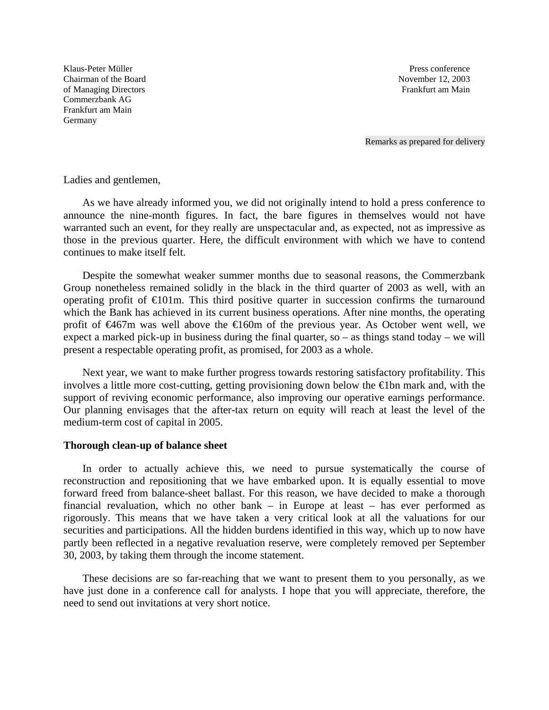Klaus-Peter Müller **Press conference Press conference** Chairman of the Board November 12, 2003 of Managing Directors Frankfurt am Main Commerzbank AG Frankfurt am Main Germany

Remarks as prepared for delivery

Ladies and gentlemen,

As we have already informed you, we did not originally intend to hold a press conference to announce the nine-month figures. In fact, the bare figures in themselves would not have warranted such an event, for they really are unspectacular and, as expected, not as impressive as those in the previous quarter. Here, the difficult environment with which we have to contend continues to make itself felt.

Despite the somewhat weaker summer months due to seasonal reasons, the Commerzbank Group nonetheless remained solidly in the black in the third quarter of 2003 as well, with an operating profit of  $\bigoplus$ 01m. This third positive quarter in succession confirms the turnaround which the Bank has achieved in its current business operations. After nine months, the operating profit of €467m was well above the €160m of the previous year. As October went well, we expect a marked pick-up in business during the final quarter, so  $-$  as things stand today  $-$  we will present a respectable operating profit, as promised, for 2003 as a whole.

Next year, we want to make further progress towards restoring satisfactory profitability. This involves a little more cost-cutting, getting provisioning down below the €1bn mark and, with the support of reviving economic performance, also improving our operative earnings performance. Our planning envisages that the after-tax return on equity will reach at least the level of the medium-term cost of capital in 2005.

## **Thorough clean-up of balance sheet**

In order to actually achieve this, we need to pursue systematically the course of reconstruction and repositioning that we have embarked upon. It is equally essential to move forward freed from balance-sheet ballast. For this reason, we have decided to make a thorough financial revaluation, which no other bank – in Europe at least – has ever performed as rigorously. This means that we have taken a very critical look at all the valuations for our securities and participations. All the hidden burdens identified in this way, which up to now have partly been reflected in a negative revaluation reserve, were completely removed per September 30, 2003, by taking them through the income statement.

These decisions are so far-reaching that we want to present them to you personally, as we have just done in a conference call for analysts. I hope that you will appreciate, therefore, the need to send out invitations at very short notice.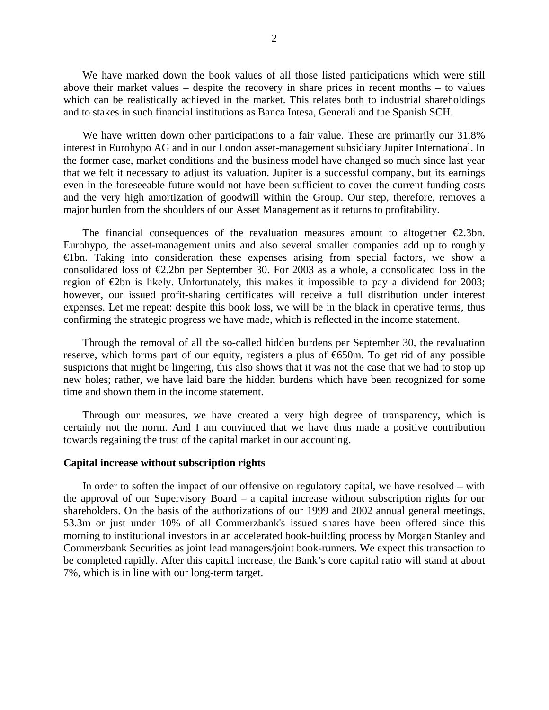We have marked down the book values of all those listed participations which were still above their market values – despite the recovery in share prices in recent months – to values which can be realistically achieved in the market. This relates both to industrial shareholdings and to stakes in such financial institutions as Banca Intesa, Generali and the Spanish SCH.

We have written down other participations to a fair value. These are primarily our 31.8% interest in Eurohypo AG and in our London asset-management subsidiary Jupiter International. In the former case, market conditions and the business model have changed so much since last year that we felt it necessary to adjust its valuation. Jupiter is a successful company, but its earnings even in the foreseeable future would not have been sufficient to cover the current funding costs and the very high amortization of goodwill within the Group. Our step, therefore, removes a major burden from the shoulders of our Asset Management as it returns to profitability.

The financial consequences of the revaluation measures amount to altogether  $\epsilon$ 2.3bn. Eurohypo, the asset-management units and also several smaller companies add up to roughly €1bn. Taking into consideration these expenses arising from special factors, we show a consolidated loss of  $\epsilon$ 2.2bn per September 30. For 2003 as a whole, a consolidated loss in the region of  $\epsilon$ 2bn is likely. Unfortunately, this makes it impossible to pay a dividend for 2003; however, our issued profit-sharing certificates will receive a full distribution under interest expenses. Let me repeat: despite this book loss, we will be in the black in operative terms, thus confirming the strategic progress we have made, which is reflected in the income statement.

Through the removal of all the so-called hidden burdens per September 30, the revaluation reserve, which forms part of our equity, registers a plus of €650m. To get rid of any possible suspicions that might be lingering, this also shows that it was not the case that we had to stop up new holes; rather, we have laid bare the hidden burdens which have been recognized for some time and shown them in the income statement.

Through our measures, we have created a very high degree of transparency, which is certainly not the norm. And I am convinced that we have thus made a positive contribution towards regaining the trust of the capital market in our accounting.

## **Capital increase without subscription rights**

In order to soften the impact of our offensive on regulatory capital, we have resolved – with the approval of our Supervisory Board – a capital increase without subscription rights for our shareholders. On the basis of the authorizations of our 1999 and 2002 annual general meetings, 53.3m or just under 10% of all Commerzbank's issued shares have been offered since this morning to institutional investors in an accelerated book-building process by Morgan Stanley and Commerzbank Securities as joint lead managers/joint book-runners. We expect this transaction to be completed rapidly. After this capital increase, the Bank's core capital ratio will stand at about 7%, which is in line with our long-term target.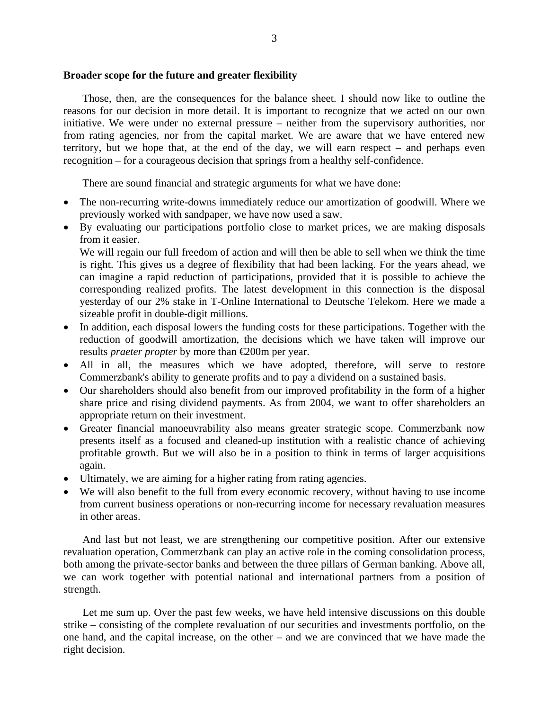## **Broader scope for the future and greater flexibility**

Those, then, are the consequences for the balance sheet. I should now like to outline the reasons for our decision in more detail. It is important to recognize that we acted on our own initiative. We were under no external pressure – neither from the supervisory authorities, nor from rating agencies, nor from the capital market. We are aware that we have entered new territory, but we hope that, at the end of the day, we will earn respect – and perhaps even recognition – for a courageous decision that springs from a healthy self-confidence.

There are sound financial and strategic arguments for what we have done:

- The non-recurring write-downs immediately reduce our amortization of goodwill. Where we previously worked with sandpaper, we have now used a saw.
- By evaluating our participations portfolio close to market prices, we are making disposals from it easier.

We will regain our full freedom of action and will then be able to sell when we think the time is right. This gives us a degree of flexibility that had been lacking. For the years ahead, we can imagine a rapid reduction of participations, provided that it is possible to achieve the corresponding realized profits. The latest development in this connection is the disposal yesterday of our 2% stake in T-Online International to Deutsche Telekom. Here we made a sizeable profit in double-digit millions.

- In addition, each disposal lowers the funding costs for these participations. Together with the reduction of goodwill amortization, the decisions which we have taken will improve our results *praeter propter* by more than €200m per year.
- All in all, the measures which we have adopted, therefore, will serve to restore Commerzbank's ability to generate profits and to pay a dividend on a sustained basis.
- Our shareholders should also benefit from our improved profitability in the form of a higher share price and rising dividend payments. As from 2004, we want to offer shareholders an appropriate return on their investment.
- Greater financial manoeuvrability also means greater strategic scope. Commerzbank now presents itself as a focused and cleaned-up institution with a realistic chance of achieving profitable growth. But we will also be in a position to think in terms of larger acquisitions again.
- Ultimately, we are aiming for a higher rating from rating agencies.
- We will also benefit to the full from every economic recovery, without having to use income from current business operations or non-recurring income for necessary revaluation measures in other areas.

And last but not least, we are strengthening our competitive position. After our extensive revaluation operation, Commerzbank can play an active role in the coming consolidation process, both among the private-sector banks and between the three pillars of German banking. Above all, we can work together with potential national and international partners from a position of strength.

Let me sum up. Over the past few weeks, we have held intensive discussions on this double strike – consisting of the complete revaluation of our securities and investments portfolio, on the one hand, and the capital increase, on the other – and we are convinced that we have made the right decision.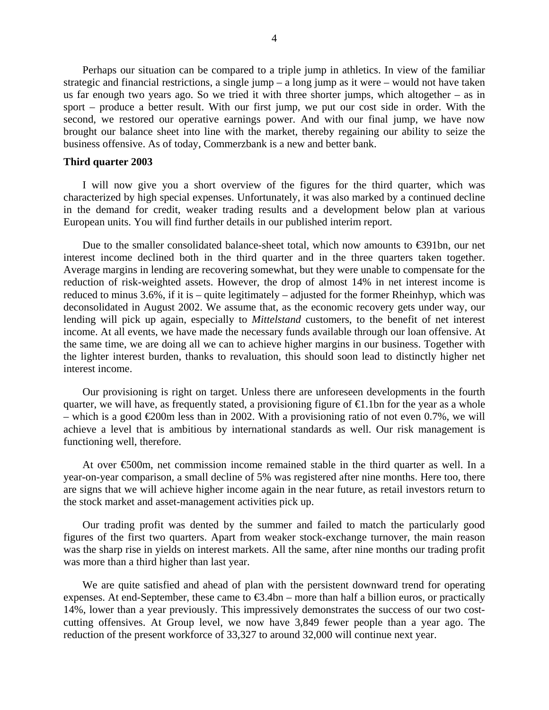Perhaps our situation can be compared to a triple jump in athletics. In view of the familiar strategic and financial restrictions, a single jump – a long jump as it were – would not have taken us far enough two years ago. So we tried it with three shorter jumps, which altogether – as in sport – produce a better result. With our first jump, we put our cost side in order. With the second, we restored our operative earnings power. And with our final jump, we have now brought our balance sheet into line with the market, thereby regaining our ability to seize the business offensive. As of today, Commerzbank is a new and better bank.

## **Third quarter 2003**

I will now give you a short overview of the figures for the third quarter, which was characterized by high special expenses. Unfortunately, it was also marked by a continued decline in the demand for credit, weaker trading results and a development below plan at various European units. You will find further details in our published interim report.

Due to the smaller consolidated balance-sheet total, which now amounts to  $\epsilon$ 391bn, our net interest income declined both in the third quarter and in the three quarters taken together. Average margins in lending are recovering somewhat, but they were unable to compensate for the reduction of risk-weighted assets. However, the drop of almost 14% in net interest income is reduced to minus 3.6%, if it is – quite legitimately – adjusted for the former Rheinhyp, which was deconsolidated in August 2002. We assume that, as the economic recovery gets under way, our lending will pick up again, especially to *Mittelstand* customers, to the benefit of net interest income. At all events, we have made the necessary funds available through our loan offensive. At the same time, we are doing all we can to achieve higher margins in our business. Together with the lighter interest burden, thanks to revaluation, this should soon lead to distinctly higher net interest income.

Our provisioning is right on target. Unless there are unforeseen developments in the fourth quarter, we will have, as frequently stated, a provisioning figure of  $\bigoplus$ . 1bn for the year as a whole – which is a good €200m less than in 2002. With a provisioning ratio of not even 0.7%, we will achieve a level that is ambitious by international standards as well. Our risk management is functioning well, therefore.

At over €500m, net commission income remained stable in the third quarter as well. In a year-on-year comparison, a small decline of 5% was registered after nine months. Here too, there are signs that we will achieve higher income again in the near future, as retail investors return to the stock market and asset-management activities pick up.

Our trading profit was dented by the summer and failed to match the particularly good figures of the first two quarters. Apart from weaker stock-exchange turnover, the main reason was the sharp rise in yields on interest markets. All the same, after nine months our trading profit was more than a third higher than last year.

We are quite satisfied and ahead of plan with the persistent downward trend for operating expenses. At end-September, these came to  $\epsilon$ 3.4bn – more than half a billion euros, or practically 14%, lower than a year previously. This impressively demonstrates the success of our two costcutting offensives. At Group level, we now have 3,849 fewer people than a year ago. The reduction of the present workforce of 33,327 to around 32,000 will continue next year.